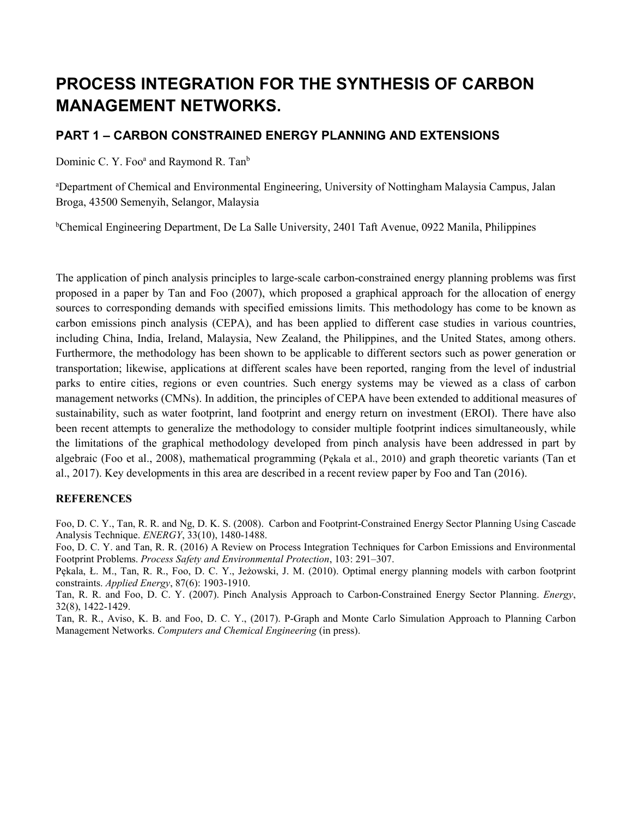# **PROCESS INTEGRATION FOR THE SYNTHESIS OF CARBON MANAGEMENT NETWORKS.**

## **PART 1 – CARBON CONSTRAINED ENERGY PLANNING AND EXTENSIONS**

Dominic C. Y. Foo<sup>a</sup> and Raymond R. Tan<sup>b</sup>

a Department of Chemical and Environmental Engineering, University of Nottingham Malaysia Campus, Jalan Broga, 43500 Semenyih, Selangor, Malaysia

b Chemical Engineering Department, De La Salle University, 2401 Taft Avenue, 0922 Manila, Philippines

The application of pinch analysis principles to large-scale carbon-constrained energy planning problems was first proposed in a paper by Tan and Foo (2007), which proposed a graphical approach for the allocation of energy sources to corresponding demands with specified emissions limits. This methodology has come to be known as carbon emissions pinch analysis (CEPA), and has been applied to different case studies in various countries, including China, India, Ireland, Malaysia, New Zealand, the Philippines, and the United States, among others. Furthermore, the methodology has been shown to be applicable to different sectors such as power generation or transportation; likewise, applications at different scales have been reported, ranging from the level of industrial parks to entire cities, regions or even countries. Such energy systems may be viewed as a class of carbon management networks (CMNs). In addition, the principles of CEPA have been extended to additional measures of sustainability, such as water footprint, land footprint and energy return on investment (EROI). There have also been recent attempts to generalize the methodology to consider multiple footprint indices simultaneously, while the limitations of the graphical methodology developed from pinch analysis have been addressed in part by algebraic (Foo et al., 2008), mathematical programming (Pękala et al., 2010) and graph theoretic variants (Tan et al., 2017). Key developments in this area are described in a recent review paper by Foo and Tan (2016).

### **REFERENCES**

Foo, D. C. Y., Tan, R. R. and Ng, D. K. S. (2008). Carbon and Footprint-Constrained Energy Sector Planning Using Cascade Analysis Technique. *ENERGY*, 33(10), 1480-1488.

Foo, D. C. Y. and Tan, R. R. (2016) A Review on Process Integration Techniques for Carbon Emissions and Environmental Footprint Problems. *Process Safety and Environmental Protection*, 103: 291–307.

Pękala, Ł. M., Tan, R. R., Foo, D. C. Y., Jeżowski, J. M. (2010). Optimal energy planning models with carbon footprint constraints. *Applied Energy*, 87(6): 1903-1910.

Tan, R. R. and Foo, D. C. Y. (2007). Pinch Analysis Approach to Carbon-Constrained Energy Sector Planning. *Energy*, 32(8), 1422-1429.

Tan, R. R., Aviso, K. B. and Foo, D. C. Y., (2017). P-Graph and Monte Carlo Simulation Approach to Planning Carbon Management Networks. *Computers and Chemical Engineering* (in press).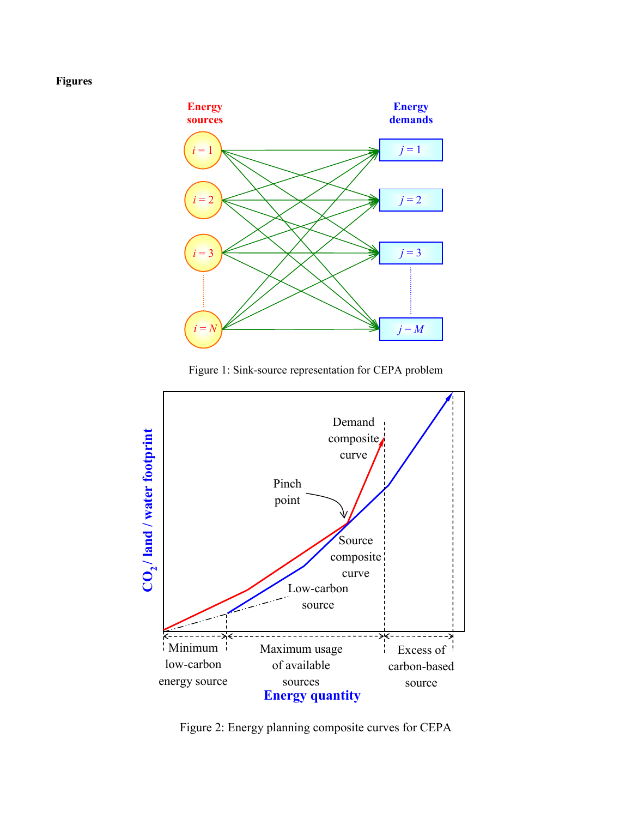## **Figures**



Figure 1: Sink-source representation for CEPA problem



Figure 2: Energy planning composite curves for CEPA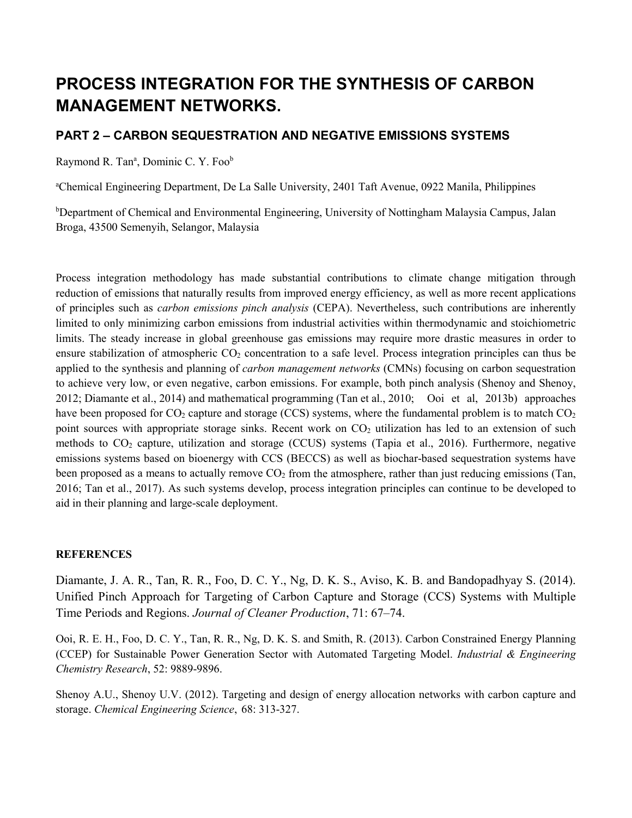# **PROCESS INTEGRATION FOR THE SYNTHESIS OF CARBON MANAGEMENT NETWORKS.**

## **PART 2 – CARBON SEQUESTRATION AND NEGATIVE EMISSIONS SYSTEMS**

Raymond R. Tan<sup>a</sup>, Dominic C. Y. Foo<sup>b</sup>

a Chemical Engineering Department, De La Salle University, 2401 Taft Avenue, 0922 Manila, Philippines

b Department of Chemical and Environmental Engineering, University of Nottingham Malaysia Campus, Jalan Broga, 43500 Semenyih, Selangor, Malaysia

Process integration methodology has made substantial contributions to climate change mitigation through reduction of emissions that naturally results from improved energy efficiency, as well as more recent applications of principles such as *carbon emissions pinch analysis* (CEPA). Nevertheless, such contributions are inherently limited to only minimizing carbon emissions from industrial activities within thermodynamic and stoichiometric limits. The steady increase in global greenhouse gas emissions may require more drastic measures in order to ensure stabilization of atmospheric  $CO<sub>2</sub>$  concentration to a safe level. Process integration principles can thus be applied to the synthesis and planning of *carbon management networks* (CMNs) focusing on carbon sequestration to achieve very low, or even negative, carbon emissions. For example, both pinch analysis (Shenoy and Shenoy, 2012; Diamante et al., 2014) and mathematical programming (Tan et al., 2010; Ooi et al, 2013b) approaches have been proposed for  $CO_2$  capture and storage (CCS) systems, where the fundamental problem is to match  $CO_2$ point sources with appropriate storage sinks. Recent work on  $CO<sub>2</sub>$  utilization has led to an extension of such methods to  $CO<sub>2</sub>$  capture, utilization and storage (CCUS) systems (Tapia et al., 2016). Furthermore, negative emissions systems based on bioenergy with CCS (BECCS) as well as biochar-based sequestration systems have been proposed as a means to actually remove  $CO<sub>2</sub>$  from the atmosphere, rather than just reducing emissions (Tan, 2016; Tan et al., 2017). As such systems develop, process integration principles can continue to be developed to aid in their planning and large-scale deployment.

### **REFERENCES**

Diamante, J. A. R., Tan, R. R., Foo, D. C. Y., Ng, D. K. S., Aviso, K. B. and Bandopadhyay S. (2014). Unified Pinch Approach for Targeting of Carbon Capture and Storage (CCS) Systems with Multiple Time Periods and Regions. *Journal of Cleaner Production*, 71: 67–74.

Ooi, R. E. H., Foo, D. C. Y., Tan, R. R., Ng, D. K. S. and Smith, R. (2013). Carbon Constrained Energy Planning (CCEP) for Sustainable Power Generation Sector with Automated Targeting Model. *Industrial & Engineering Chemistry Research*, 52: 9889-9896.

Shenoy A.U., Shenoy U.V. (2012). Targeting and design of energy allocation networks with carbon capture and storage. *Chemical Engineering Science*, 68: 313-327.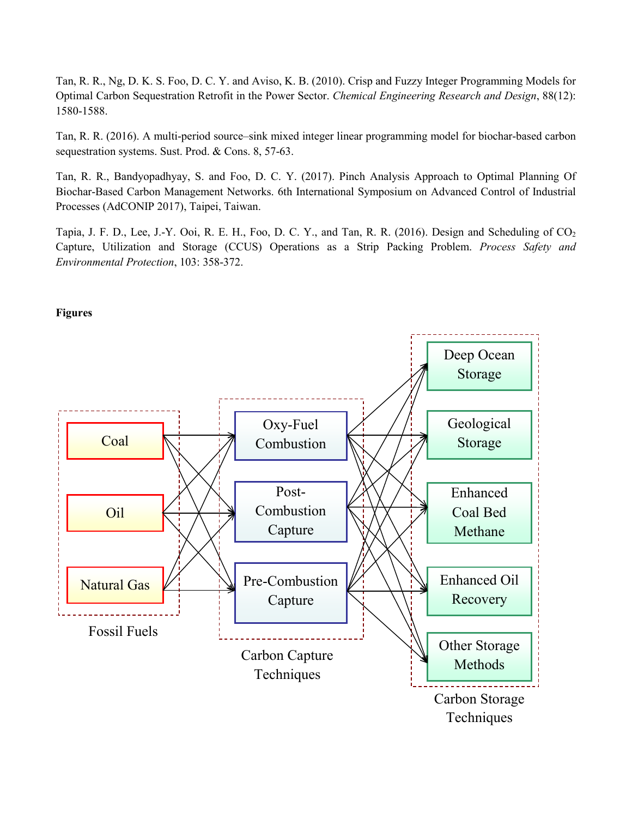Tan, R. R., Ng, D. K. S. Foo, D. C. Y. and Aviso, K. B. (2010). Crisp and Fuzzy Integer Programming Models for Optimal Carbon Sequestration Retrofit in the Power Sector. *Chemical Engineering Research and Design*, 88(12): 1580-1588.

Tan, R. R. (2016). A multi-period source–sink mixed integer linear programming model for biochar-based carbon sequestration systems. Sust. Prod. & Cons. 8, 57-63.

Tan, R. R., Bandyopadhyay, S. and Foo, D. C. Y. (2017). Pinch Analysis Approach to Optimal Planning Of Biochar-Based Carbon Management Networks. 6th International Symposium on Advanced Control of Industrial Processes (AdCONIP 2017), Taipei, Taiwan.

Tapia, J. F. D., Lee, J.-Y. Ooi, R. E. H., Foo, D. C. Y., and Tan, R. R. (2016). Design and Scheduling of CO<sub>2</sub> Capture, Utilization and Storage (CCUS) Operations as a Strip Packing Problem. *Process Safety and Environmental Protection*, 103: 358-372.